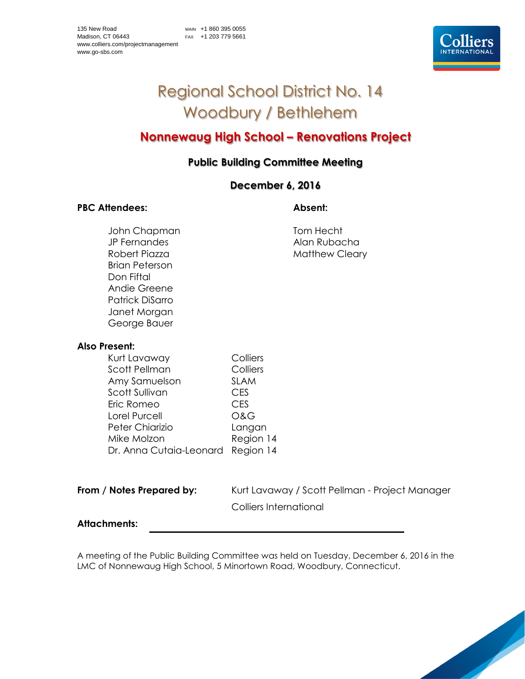# Regional School District No. 14 Woodbury / Bethlehem

## **Nonnewaug High School – Renovations Project**

### **Public Building Committee Meeting**

### **December 6, 2016**

#### PBC Attendees: Absent:

John Chapman Tom Hecht JP Fernandes Alan Rubacha Brian Peterson Don Fiftal Andie Greene Patrick DiSarro Janet Morgan George Bauer

Robert Piazza Matthew Cleary

#### **Also Present:**

| Kurt Lavaway            | Colliers       |
|-------------------------|----------------|
| <b>Scott Pellman</b>    | Colliers       |
| Amy Samuelson           | <b>SLAM</b>    |
| Scott Sullivan          | <b>CES</b>     |
| Eric Romeo              | <b>CES</b>     |
| Lorel Purcell           | <b>O&amp;G</b> |
| Peter Chiarizio         | Langan         |
| Mike Molzon             | Region 14      |
| Dr. Anna Cutaia-Leonard | Region 14      |

**From / Notes Prepared by:** Kurt Lavaway / Scott Pellman - Project Manager Colliers International

#### **Attachments:**

A meeting of the Public Building Committee was held on Tuesday, December 6, 2016 in the LMC of Nonnewaug High School, 5 Minortown Road, Woodbury, Connecticut.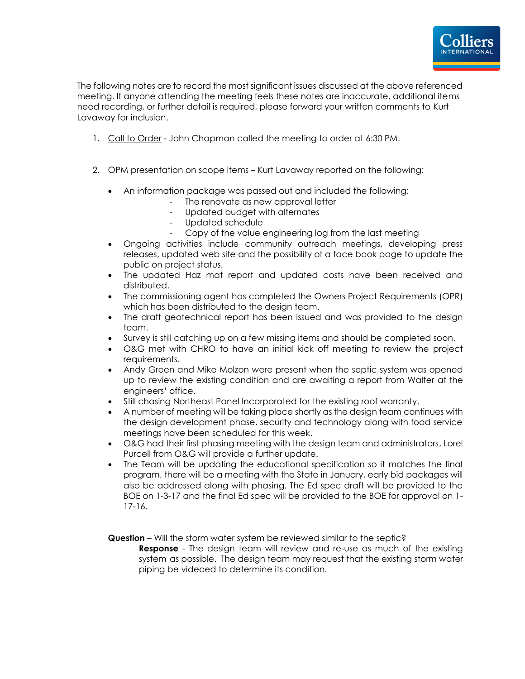

The following notes are to record the most significant issues discussed at the above referenced meeting. If anyone attending the meeting feels these notes are inaccurate, additional items need recording, or further detail is required, please forward your written comments to Kurt Lavaway for inclusion.

- 1. Call to Order John Chapman called the meeting to order at 6:30 PM.
- 2. OPM presentation on scope items Kurt Lavaway reported on the following:
	- An information package was passed out and included the following:
		- The renovate as new approval letter
		- Updated budget with alternates
		- Updated schedule
		- Copy of the value engineering log from the last meeting
	- Ongoing activities include community outreach meetings, developing press releases, updated web site and the possibility of a face book page to update the public on project status.
	- The updated Haz mat report and updated costs have been received and distributed.
	- The commissioning agent has completed the Owners Project Requirements (OPR) which has been distributed to the design team.
	- The draft geotechnical report has been issued and was provided to the design team.
	- Survey is still catching up on a few missing items and should be completed soon.
	- O&G met with CHRO to have an initial kick off meeting to review the project requirements.
	- Andy Green and Mike Molzon were present when the septic system was opened up to review the existing condition and are awaiting a report from Walter at the engineers' office.
	- Still chasing Northeast Panel Incorporated for the existing roof warranty.
	- A number of meeting will be taking place shortly as the design team continues with the design development phase, security and technology along with food service meetings have been scheduled for this week.
	- O&G had their first phasing meeting with the design team and administrators, Lorel Purcell from O&G will provide a further update.
	- The Team will be updating the educational specification so it matches the final program, there will be a meeting with the State in January, early bid packages will also be addressed along with phasing. The Ed spec draft will be provided to the BOE on 1-3-17 and the final Ed spec will be provided to the BOE for approval on 1- 17-16.

**Question** – Will the storm water system be reviewed similar to the septic?

**Response** - The design team will review and re-use as much of the existing system as possible. The design team may request that the existing storm water piping be videoed to determine its condition.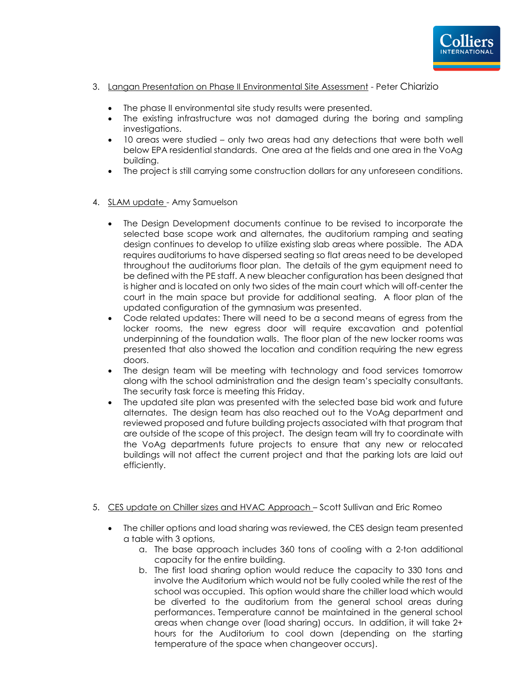

- 3. Langan Presentation on Phase II Environmental Site Assessment Peter Chiarizio
	- The phase II environmental site study results were presented.
	- The existing infrastructure was not damaged during the boring and sampling investigations.
	- 10 areas were studied only two areas had any detections that were both well below EPA residential standards. One area at the fields and one area in the VoAg building.
	- The project is still carrying some construction dollars for any unforeseen conditions.
- 4. SLAM update Amy Samuelson
	- The Design Development documents continue to be revised to incorporate the selected base scope work and alternates, the auditorium ramping and seating design continues to develop to utilize existing slab areas where possible. The ADA requires auditoriums to have dispersed seating so flat areas need to be developed throughout the auditoriums floor plan. The details of the gym equipment need to be defined with the PE staff. A new bleacher configuration has been designed that is higher and is located on only two sides of the main court which will off-center the court in the main space but provide for additional seating. A floor plan of the updated configuration of the gymnasium was presented.
	- Code related updates: There will need to be a second means of egress from the locker rooms, the new egress door will require excavation and potential underpinning of the foundation walls. The floor plan of the new locker rooms was presented that also showed the location and condition requiring the new egress doors.
	- The design team will be meeting with technology and food services tomorrow along with the school administration and the design team's specialty consultants. The security task force is meeting this Friday.
	- The updated site plan was presented with the selected base bid work and future alternates. The design team has also reached out to the VoAg department and reviewed proposed and future building projects associated with that program that are outside of the scope of this project. The design team will try to coordinate with the VoAg departments future projects to ensure that any new or relocated buildings will not affect the current project and that the parking lots are laid out efficiently.
- 5. CES update on Chiller sizes and HVAC Approach Scott Sullivan and Eric Romeo
	- The chiller options and load sharing was reviewed, the CES design team presented a table with 3 options,
		- a. The base approach includes 360 tons of cooling with a 2-ton additional capacity for the entire building.
		- b. The first load sharing option would reduce the capacity to 330 tons and involve the Auditorium which would not be fully cooled while the rest of the school was occupied. This option would share the chiller load which would be diverted to the auditorium from the general school areas during performances. Temperature cannot be maintained in the general school areas when change over (load sharing) occurs. In addition, it will take 2+ hours for the Auditorium to cool down (depending on the starting temperature of the space when changeover occurs).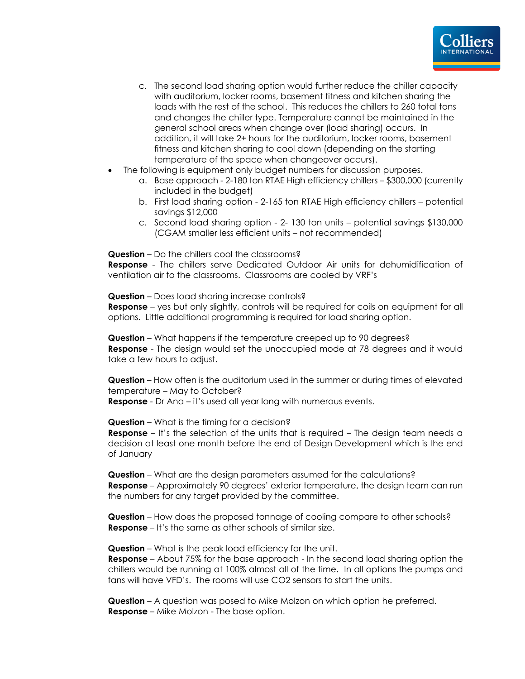

- c. The second load sharing option would further reduce the chiller capacity with auditorium, locker rooms, basement fitness and kitchen sharing the loads with the rest of the school. This reduces the chillers to 260 total tons and changes the chiller type. Temperature cannot be maintained in the general school areas when change over (load sharing) occurs. In addition, it will take 2+ hours for the auditorium, locker rooms, basement fitness and kitchen sharing to cool down (depending on the starting temperature of the space when changeover occurs).
- The following is equipment only budget numbers for discussion purposes.
	- a. Base approach 2-180 ton RTAE High efficiency chillers \$300,000 (currently included in the budget)
	- b. First load sharing option 2-165 ton RTAE High efficiency chillers potential savings \$12,000
	- c. Second load sharing option 2- 130 ton units potential savings \$130,000 (CGAM smaller less efficient units – not recommended)

**Question** – Do the chillers cool the classrooms?

**Response** - The chillers serve Dedicated Outdoor Air units for dehumidification of ventilation air to the classrooms. Classrooms are cooled by VRF's

**Question** – Does load sharing increase controls?

**Response** – yes but only slightly, controls will be required for coils on equipment for all options. Little additional programming is required for load sharing option.

**Question** – What happens if the temperature creeped up to 90 degrees? **Response** - The design would set the unoccupied mode at 78 degrees and it would take a few hours to adjust.

**Question** – How often is the auditorium used in the summer or during times of elevated temperature – May to October?

**Response** - Dr Ana – it's used all year long with numerous events.

**Question** – What is the timing for a decision?

**Response** – It's the selection of the units that is required – The design team needs a decision at least one month before the end of Design Development which is the end of January

**Question** – What are the design parameters assumed for the calculations? **Response** – Approximately 90 degrees' exterior temperature, the design team can run the numbers for any target provided by the committee.

**Question** – How does the proposed tonnage of cooling compare to other schools? **Response** – It's the same as other schools of similar size.

**Question** – What is the peak load efficiency for the unit.

**Response** – About 75% for the base approach - In the second load sharing option the chillers would be running at 100% almost all of the time. In all options the pumps and fans will have VFD's. The rooms will use CO2 sensors to start the units.

**Question** – A question was posed to Mike Molzon on which option he preferred. **Response** – Mike Molzon - The base option.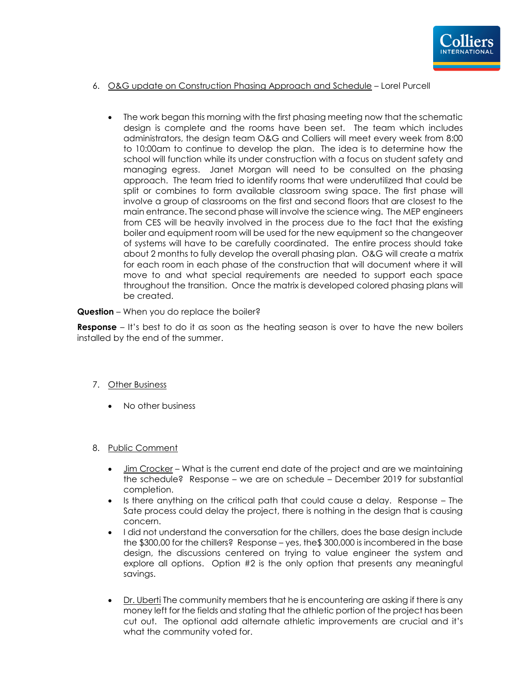

#### 6. O&G update on Construction Phasing Approach and Schedule – Lorel Purcell

• The work began this morning with the first phasing meeting now that the schematic design is complete and the rooms have been set. The team which includes administrators, the design team O&G and Colliers will meet every week from 8:00 to 10:00am to continue to develop the plan. The idea is to determine how the school will function while its under construction with a focus on student safety and managing egress. Janet Morgan will need to be consulted on the phasing approach. The team tried to identify rooms that were underutilized that could be split or combines to form available classroom swing space. The first phase will involve a group of classrooms on the first and second floors that are closest to the main entrance. The second phase will involve the science wing. The MEP engineers from CES will be heavily involved in the process due to the fact that the existing boiler and equipment room will be used for the new equipment so the changeover of systems will have to be carefully coordinated. The entire process should take about 2 months to fully develop the overall phasing plan. O&G will create a matrix for each room in each phase of the construction that will document where it will move to and what special requirements are needed to support each space throughout the transition. Once the matrix is developed colored phasing plans will be created.

#### **Question** – When you do replace the boiler?

**Response** – It's best to do it as soon as the heating season is over to have the new boilers installed by the end of the summer.

- 7. Other Business
	- No other business
- 8. Public Comment
	- Jim Crocker What is the current end date of the project and are we maintaining the schedule? Response – we are on schedule – December 2019 for substantial completion.
	- $\bullet$  Is there anything on the critical path that could cause a delay. Response  $-$  The Sate process could delay the project, there is nothing in the design that is causing concern.
	- I did not understand the conversation for the chillers, does the base design include the \$300,00 for the chillers? Response – yes, the\$ 300,000 is incombered in the base design, the discussions centered on trying to value engineer the system and explore all options. Option #2 is the only option that presents any meaningful savings.
	- Dr. Uberti The community members that he is encountering are asking if there is any money left for the fields and stating that the athletic portion of the project has been cut out. The optional add alternate athletic improvements are crucial and it's what the community voted for.